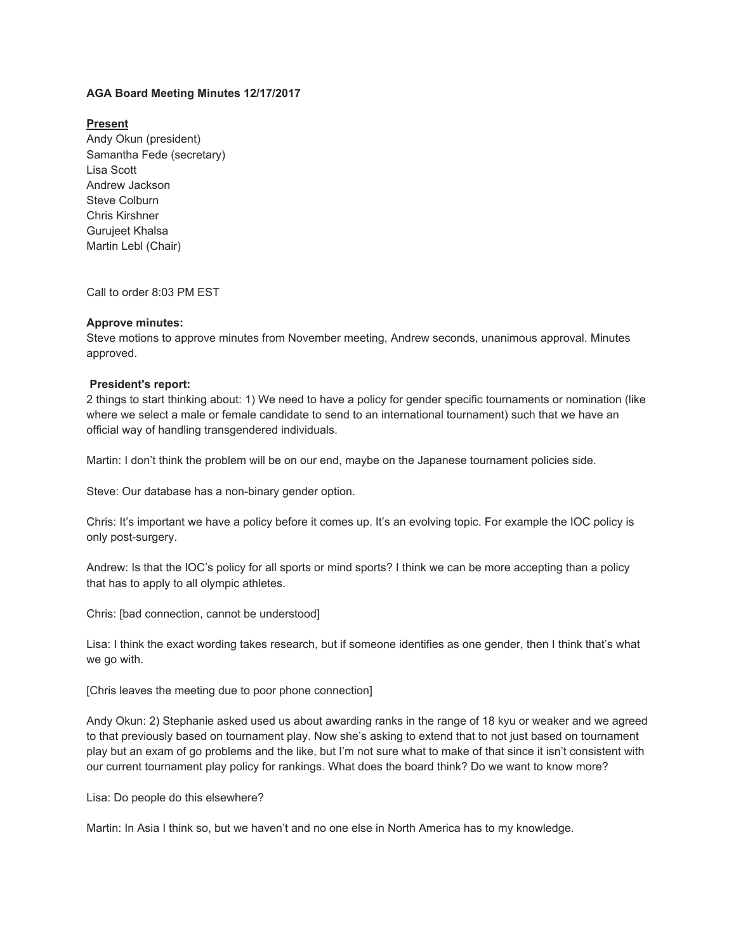# **AGA Board Meeting Minutes 12/17/2017**

## **Present**

Andy Okun (president) Samantha Fede (secretary) Lisa Scott Andrew Jackson Steve Colburn Chris Kirshner Gurujeet Khalsa Martin Lebl (Chair)

Call to order 8:03 PM EST

### **Approve minutes:**

Steve motions to approve minutes from November meeting, Andrew seconds, unanimous approval. Minutes approved.

### **President's report:**

2 things to start thinking about: 1) We need to have a policy for gender specific tournaments or nomination (like where we select a male or female candidate to send to an international tournament) such that we have an official way of handling transgendered individuals.

Martin: I don't think the problem will be on our end, maybe on the Japanese tournament policies side.

Steve: Our database has a non-binary gender option.

Chris: It's important we have a policy before it comes up. It's an evolving topic. For example the IOC policy is only post-surgery.

Andrew: Is that the IOC's policy for all sports or mind sports? I think we can be more accepting than a policy that has to apply to all olympic athletes.

Chris: [bad connection, cannot be understood]

Lisa: I think the exact wording takes research, but if someone identifies as one gender, then I think that's what we go with.

[Chris leaves the meeting due to poor phone connection]

Andy Okun: 2) Stephanie asked used us about awarding ranks in the range of 18 kyu or weaker and we agreed to that previously based on tournament play. Now she's asking to extend that to not just based on tournament play but an exam of go problems and the like, but I'm not sure what to make of that since it isn't consistent with our current tournament play policy for rankings. What does the board think? Do we want to know more?

Lisa: Do people do this elsewhere?

Martin: In Asia I think so, but we haven't and no one else in North America has to my knowledge.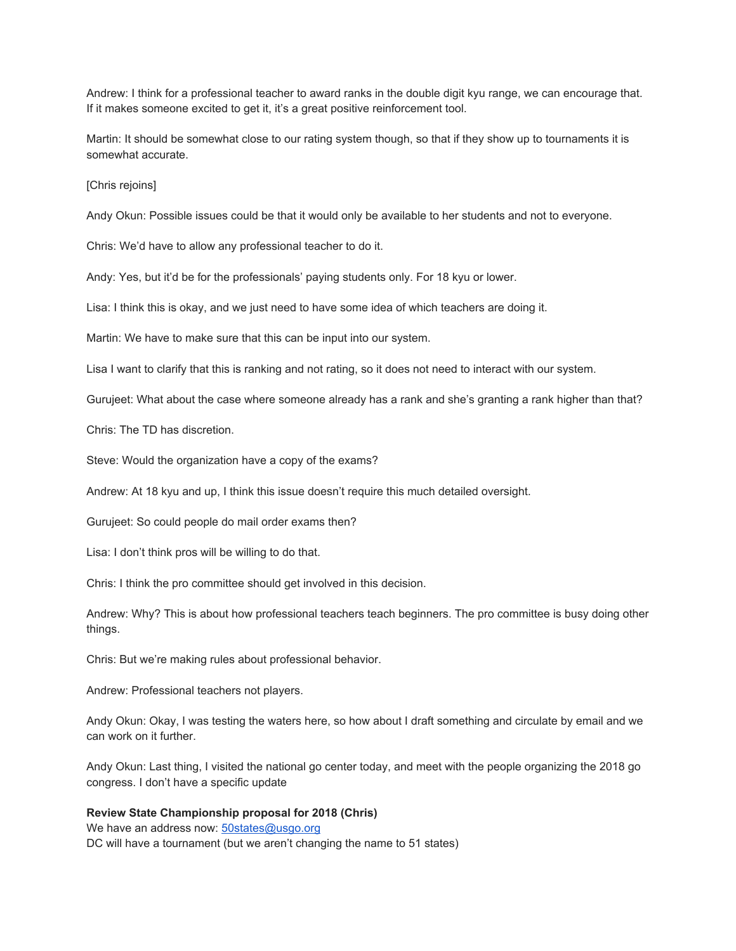Andrew: I think for a professional teacher to award ranks in the double digit kyu range, we can encourage that. If it makes someone excited to get it, it's a great positive reinforcement tool.

Martin: It should be somewhat close to our rating system though, so that if they show up to tournaments it is somewhat accurate.

[Chris rejoins]

Andy Okun: Possible issues could be that it would only be available to her students and not to everyone.

Chris: We'd have to allow any professional teacher to do it.

Andy: Yes, but it'd be for the professionals' paying students only. For 18 kyu or lower.

Lisa: I think this is okay, and we just need to have some idea of which teachers are doing it.

Martin: We have to make sure that this can be input into our system.

Lisa I want to clarify that this is ranking and not rating, so it does not need to interact with our system.

Gurujeet: What about the case where someone already has a rank and she's granting a rank higher than that?

Chris: The TD has discretion.

Steve: Would the organization have a copy of the exams?

Andrew: At 18 kyu and up, I think this issue doesn't require this much detailed oversight.

Gurujeet: So could people do mail order exams then?

Lisa: I don't think pros will be willing to do that.

Chris: I think the pro committee should get involved in this decision.

Andrew: Why? This is about how professional teachers teach beginners. The pro committee is busy doing other things.

Chris: But we're making rules about professional behavior.

Andrew: Professional teachers not players.

Andy Okun: Okay, I was testing the waters here, so how about I draft something and circulate by email and we can work on it further.

Andy Okun: Last thing, I visited the national go center today, and meet with the people organizing the 2018 go congress. I don't have a specific update

# **Review State Championship proposal for 2018 (Chris)**

We have an address now: [50states@usgo.org](mailto:50states@usgo.org) DC will have a tournament (but we aren't changing the name to 51 states)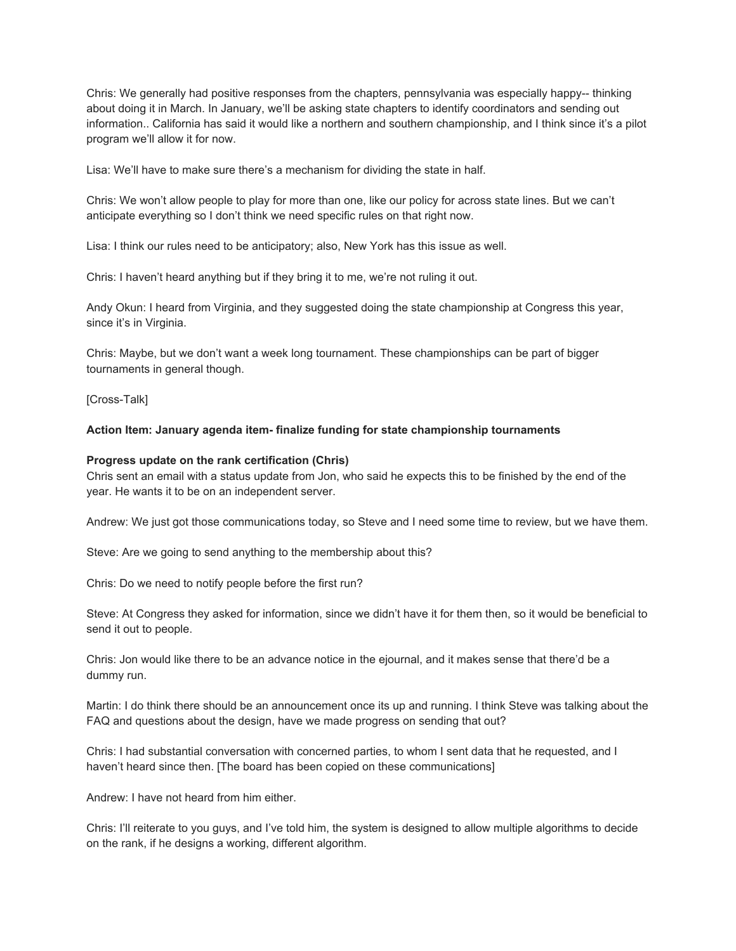Chris: We generally had positive responses from the chapters, pennsylvania was especially happy-- thinking about doing it in March. In January, we'll be asking state chapters to identify coordinators and sending out information.. California has said it would like a northern and southern championship, and I think since it's a pilot program we'll allow it for now.

Lisa: We'll have to make sure there's a mechanism for dividing the state in half.

Chris: We won't allow people to play for more than one, like our policy for across state lines. But we can't anticipate everything so I don't think we need specific rules on that right now.

Lisa: I think our rules need to be anticipatory; also, New York has this issue as well.

Chris: I haven't heard anything but if they bring it to me, we're not ruling it out.

Andy Okun: I heard from Virginia, and they suggested doing the state championship at Congress this year, since it's in Virginia.

Chris: Maybe, but we don't want a week long tournament. These championships can be part of bigger tournaments in general though.

[Cross-Talk]

### **Action Item: January agenda item- finalize funding for state championship tournaments**

#### **Progress update on the rank certification (Chris)**

Chris sent an email with a status update from Jon, who said he expects this to be finished by the end of the year. He wants it to be on an independent server.

Andrew: We just got those communications today, so Steve and I need some time to review, but we have them.

Steve: Are we going to send anything to the membership about this?

Chris: Do we need to notify people before the first run?

Steve: At Congress they asked for information, since we didn't have it for them then, so it would be beneficial to send it out to people.

Chris: Jon would like there to be an advance notice in the ejournal, and it makes sense that there'd be a dummy run.

Martin: I do think there should be an announcement once its up and running. I think Steve was talking about the FAQ and questions about the design, have we made progress on sending that out?

Chris: I had substantial conversation with concerned parties, to whom I sent data that he requested, and I haven't heard since then. [The board has been copied on these communications]

Andrew: I have not heard from him either.

Chris: I'll reiterate to you guys, and I've told him, the system is designed to allow multiple algorithms to decide on the rank, if he designs a working, different algorithm.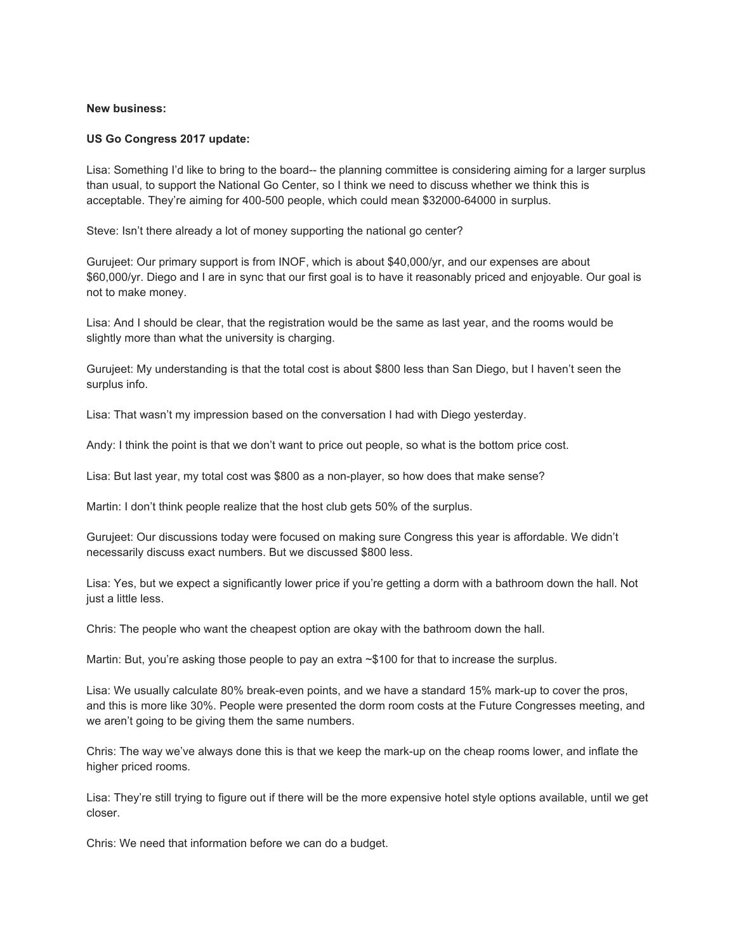#### **New business:**

#### **US Go Congress 2017 update:**

Lisa: Something I'd like to bring to the board-- the planning committee is considering aiming for a larger surplus than usual, to support the National Go Center, so I think we need to discuss whether we think this is acceptable. They're aiming for 400-500 people, which could mean \$32000-64000 in surplus.

Steve: Isn't there already a lot of money supporting the national go center?

Gurujeet: Our primary support is from INOF, which is about \$40,000/yr, and our expenses are about \$60,000/yr. Diego and I are in sync that our first goal is to have it reasonably priced and enjoyable. Our goal is not to make money.

Lisa: And I should be clear, that the registration would be the same as last year, and the rooms would be slightly more than what the university is charging.

Gurujeet: My understanding is that the total cost is about \$800 less than San Diego, but I haven't seen the surplus info.

Lisa: That wasn't my impression based on the conversation I had with Diego yesterday.

Andy: I think the point is that we don't want to price out people, so what is the bottom price cost.

Lisa: But last year, my total cost was \$800 as a non-player, so how does that make sense?

Martin: I don't think people realize that the host club gets 50% of the surplus.

Gurujeet: Our discussions today were focused on making sure Congress this year is affordable. We didn't necessarily discuss exact numbers. But we discussed \$800 less.

Lisa: Yes, but we expect a significantly lower price if you're getting a dorm with a bathroom down the hall. Not just a little less.

Chris: The people who want the cheapest option are okay with the bathroom down the hall.

Martin: But, you're asking those people to pay an extra ~\$100 for that to increase the surplus.

Lisa: We usually calculate 80% break-even points, and we have a standard 15% mark-up to cover the pros, and this is more like 30%. People were presented the dorm room costs at the Future Congresses meeting, and we aren't going to be giving them the same numbers.

Chris: The way we've always done this is that we keep the mark-up on the cheap rooms lower, and inflate the higher priced rooms.

Lisa: They're still trying to figure out if there will be the more expensive hotel style options available, until we get closer.

Chris: We need that information before we can do a budget.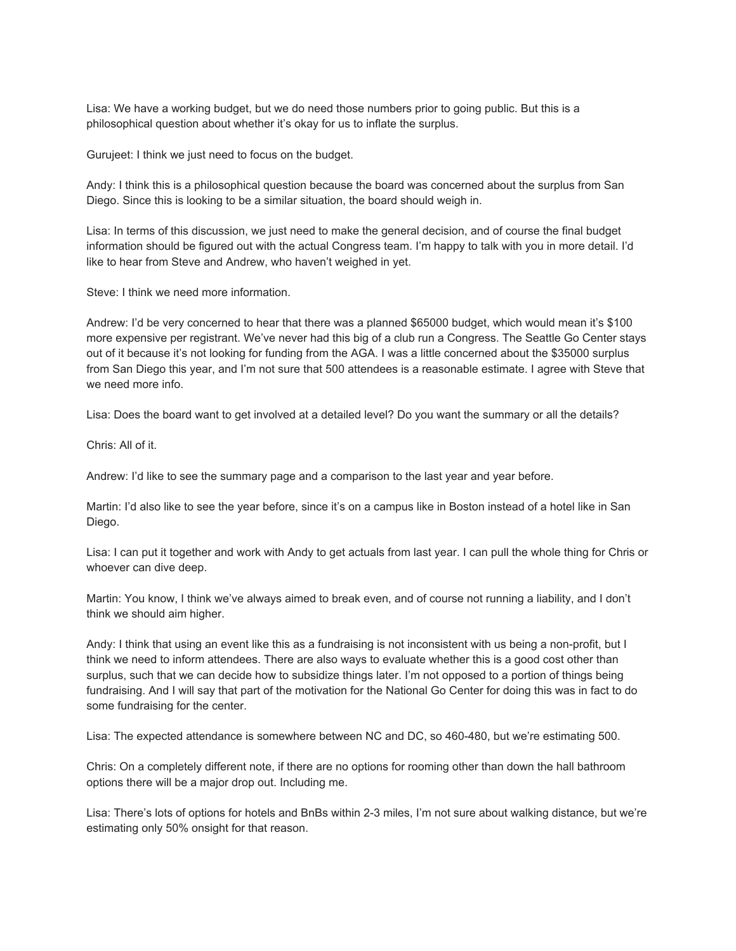Lisa: We have a working budget, but we do need those numbers prior to going public. But this is a philosophical question about whether it's okay for us to inflate the surplus.

Gurujeet: I think we just need to focus on the budget.

Andy: I think this is a philosophical question because the board was concerned about the surplus from San Diego. Since this is looking to be a similar situation, the board should weigh in.

Lisa: In terms of this discussion, we just need to make the general decision, and of course the final budget information should be figured out with the actual Congress team. I'm happy to talk with you in more detail. I'd like to hear from Steve and Andrew, who haven't weighed in yet.

Steve: I think we need more information.

Andrew: I'd be very concerned to hear that there was a planned \$65000 budget, which would mean it's \$100 more expensive per registrant. We've never had this big of a club run a Congress. The Seattle Go Center stays out of it because it's not looking for funding from the AGA. I was a little concerned about the \$35000 surplus from San Diego this year, and I'm not sure that 500 attendees is a reasonable estimate. I agree with Steve that we need more info.

Lisa: Does the board want to get involved at a detailed level? Do you want the summary or all the details?

Chris: All of it.

Andrew: I'd like to see the summary page and a comparison to the last year and year before.

Martin: I'd also like to see the year before, since it's on a campus like in Boston instead of a hotel like in San Diego.

Lisa: I can put it together and work with Andy to get actuals from last year. I can pull the whole thing for Chris or whoever can dive deep.

Martin: You know, I think we've always aimed to break even, and of course not running a liability, and I don't think we should aim higher.

Andy: I think that using an event like this as a fundraising is not inconsistent with us being a non-profit, but I think we need to inform attendees. There are also ways to evaluate whether this is a good cost other than surplus, such that we can decide how to subsidize things later. I'm not opposed to a portion of things being fundraising. And I will say that part of the motivation for the National Go Center for doing this was in fact to do some fundraising for the center.

Lisa: The expected attendance is somewhere between NC and DC, so 460-480, but we're estimating 500.

Chris: On a completely different note, if there are no options for rooming other than down the hall bathroom options there will be a major drop out. Including me.

Lisa: There's lots of options for hotels and BnBs within 2-3 miles, I'm not sure about walking distance, but we're estimating only 50% onsight for that reason.